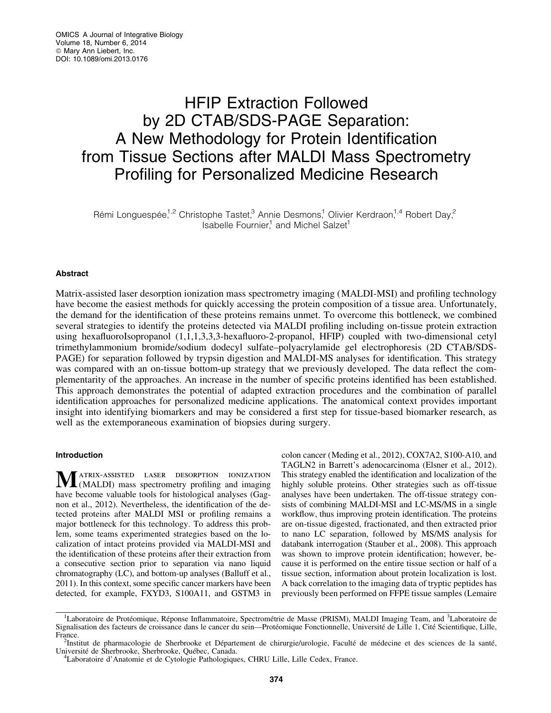# HFIP Extraction Followed by 2D CTAB/SDS-PAGE Separation: A New Methodology for Protein Identification from Tissue Sections after MALDI Mass Spectrometry Profiling for Personalized Medicine Research

Rémi Longuespée,<sup>1,2</sup> Christophe Tastet,<sup>3</sup> Annie Desmons,<sup>1</sup> Olivier Kerdraon,<sup>1,4</sup> Robert Day,<sup>2</sup> Isabelle Fournier,<sup>1</sup> and Michel Salzet<sup>1</sup>

# Abstract

Matrix-assisted laser desorption ionization mass spectrometry imaging (MALDI-MSI) and profiling technology have become the easiest methods for quickly accessing the protein composition of a tissue area. Unfortunately, the demand for the identification of these proteins remains unmet. To overcome this bottleneck, we combined several strategies to identify the proteins detected via MALDI profiling including on-tissue protein extraction using hexafluoroIsopropanol (1,1,1,3,3,3-hexafluoro-2-propanol, HFIP) coupled with two-dimensional cetyl trimethylammonium bromide/sodium dodecyl sulfate–polyacrylamide gel electrophoresis (2D CTAB/SDS-PAGE) for separation followed by trypsin digestion and MALDI-MS analyses for identification. This strategy was compared with an on-tissue bottom-up strategy that we previously developed. The data reflect the complementarity of the approaches. An increase in the number of specific proteins identified has been established. This approach demonstrates the potential of adapted extraction procedures and the combination of parallel identification approaches for personalized medicine applications. The anatomical context provides important insight into identifying biomarkers and may be considered a first step for tissue-based biomarker research, as well as the extemporaneous examination of biopsies during surgery.

# Introduction

**MATRIX-ASSISTED LASER DESORPTION IONIZATION**<br>
(MALDI) mass spectrometry profiling and imaging have become valuable tools for histological analyses (Gagnon et al., 2012). Nevertheless, the identification of the detected proteins after MALDI MSI or profiling remains a major bottleneck for this technology. To address this problem, some teams experimented strategies based on the localization of intact proteins provided via MALDI-MSI and the identification of these proteins after their extraction from a consecutive section prior to separation via nano liquid chromatography (LC), and bottom-up analyses (Balluff et al., 2011). In this context, some specific cancer markers have been detected, for example, FXYD3, S100A11, and GSTM3 in colon cancer (Meding et al., 2012), COX7A2, S100-A10, and TAGLN2 in Barrett's adenocarcinoma (Elsner et al., 2012). This strategy enabled the identification and localization of the highly soluble proteins. Other strategies such as off-tissue analyses have been undertaken. The off-tissue strategy consists of combining MALDI-MSI and LC-MS/MS in a single workflow, thus improving protein identification. The proteins are on-tissue digested, fractionated, and then extracted prior to nano LC separation, followed by MS/MS analysis for databank interrogation (Stauber et al., 2008). This approach was shown to improve protein identification; however, because it is performed on the entire tissue section or half of a tissue section, information about protein localization is lost. A back correlation to the imaging data of tryptic peptides has previously been performed on FFPE tissue samples (Lemaire

<sup>&</sup>lt;sup>1</sup>Laboratoire de Protéomique, Réponse Inflammatoire, Spectrométrie de Masse (PRISM), MALDI Imaging Team, and <sup>3</sup>Laboratoire de Signalisation des facteurs de croissance dans le cancer du sein—Protéomique Fonctionnelle, Université de Lille 1, Cité Scientifique, Lille, France.

Institut de pharmacologie de Sherbrooke et Département de chirurgie/urologie, Faculté de médecine et des sciences de la santé, Université de Sherbrooke, Sherbrooke, Québec, Canada.

Laboratoire d'Anatomie et de Cytologie Pathologiques, CHRU Lille, Lille Cedex, France.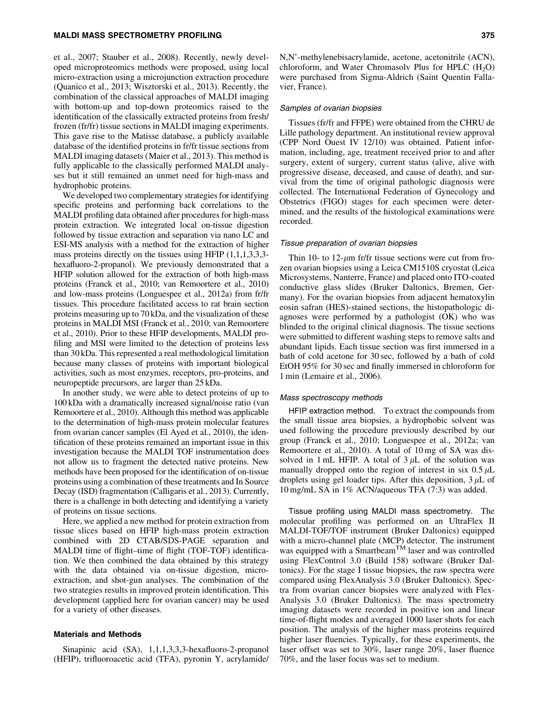#### MALDI MASS SPECTROMETRY PROFILING 375

et al., 2007; Stauber et al., 2008). Recently, newly developed microproteomics methods were proposed, using local micro-extraction using a microjunction extraction procedure (Quanico et al., 2013; Wisztorski et al., 2013). Recently, the combination of the classical approaches of MALDI imaging with bottom-up and top-down proteomics raised to the identification of the classically extracted proteins from fresh/ frozen (fr/fr) tissue sections in MALDI imaging experiments. This gave rise to the Matisse database, a publicly available database of the identified proteins in fr/fr tissue sections from MALDI imaging datasets (Maier et al., 2013). This method is fully applicable to the classically performed MALDI analyses but it still remained an unmet need for high-mass and hydrophobic proteins.

We developed two complementary strategies for identifying specific proteins and performing back correlations to the MALDI profiling data obtained after procedures for high-mass protein extraction. We integrated local on-tissue digestion followed by tissue extraction and separation via nano LC and ESI-MS analysis with a method for the extraction of higher mass proteins directly on the tissues using HFIP  $(1,1,1,3,3,3,-1)$ hexafluoro-2-propanol). We previously demonstrated that a HFIP solution allowed for the extraction of both high-mass proteins (Franck et al., 2010; van Remoortere et al., 2010) and low-mass proteins (Longuespee et al., 2012a) from fr/fr tissues. This procedure facilitated access to rat brain section proteins measuring up to 70 kDa, and the visualization of these proteins in MALDI MSI (Franck et al., 2010; van Remoortere et al., 2010). Prior to these HFIP developments, MALDI profiling and MSI were limited to the detection of proteins less than 30 kDa. This represented a real methodological limitation because many classes of proteins with important biological activities, such as most enzymes, receptors, pro-proteins, and neuropeptide precursors, are larger than 25 kDa.

In another study, we were able to detect proteins of up to 100 kDa with a dramatically increased signal/noise ratio (van Remoortere et al., 2010). Although this method was applicable to the determination of high-mass protein molecular features from ovarian cancer samples (El Ayed et al., 2010), the identification of these proteins remained an important issue in this investigation because the MALDI TOF instrumentation does not allow us to fragment the detected native proteins. New methods have been proposed for the identification of on-tissue proteins using a combination of these treatments and In Source Decay (ISD) fragmentation (Calligaris et al., 2013). Currently, there is a challenge in both detecting and identifying a variety of proteins on tissue sections.

Here, we applied a new method for protein extraction from tissue slices based on HFIP high-mass protein extraction combined with 2D CTAB/SDS-PAGE separation and MALDI time of flight–time of flight (TOF-TOF) identification. We then combined the data obtained by this strategy with the data obtained via on-tissue digestion, microextraction, and shot-gun analyses. The combination of the two strategies results in improved protein identification. This development (applied here for ovarian cancer) may be used for a variety of other diseases.

## Materials and Methods

Sinapinic acid (SA), 1,1,1,3,3,3-hexafluoro-2-propanol (HFIP), trifluoroacetic acid (TFA), pyronin Y, acrylamide/ N,N'-methylenebisacrylamide, acetone, acetonitrile (ACN), chloroform, and Water Chromasolv Plus for HPLC  $(H<sub>2</sub>O)$ were purchased from Sigma-Aldrich (Saint Quentin Fallavier, France).

## Samples of ovarian biopsies

Tissues (fr/fr and FFPE) were obtained from the CHRU de Lille pathology department. An institutional review approval (CPP Nord Ouest IV 12/10) was obtained. Patient information, including, age, treatment received prior to and after surgery, extent of surgery, current status (alive, alive with progressive disease, deceased, and cause of death), and survival from the time of original pathologic diagnosis were collected. The International Federation of Gynecology and Obstetrics (FIGO) stages for each specimen were determined, and the results of the histological examinations were recorded.

## Tissue preparation of ovarian biopsies

Thin 10- to 12- $\mu$ m fr/fr tissue sections were cut from frozen ovarian biopsies using a Leica CM1510S cryostat (Leica Microsystems, Nanterre, France) and placed onto ITO-coated conductive glass slides (Bruker Daltonics, Bremen, Germany). For the ovarian biopsies from adjacent hematoxylin eosin safran (HES)-stained sections, the histopathologic diagnoses were performed by a pathologist (OK) who was blinded to the original clinical diagnosis. The tissue sections were submitted to different washing steps to remove salts and abundant lipids. Each tissue section was first immersed in a bath of cold acetone for 30 sec, followed by a bath of cold EtOH 95% for 30 sec and finally immersed in chloroform for 1 min (Lemaire et al., 2006).

#### Mass spectroscopy methods

HFIP extraction method. To extract the compounds from the small tissue area biopsies, a hydrophobic solvent was used following the procedure previously described by our group (Franck et al., 2010; Longuespee et al., 2012a; van Remoortere et al., 2010). A total of 10 mg of SA was dissolved in 1 mL HFIP. A total of  $3 \mu$ L of the solution was manually dropped onto the region of interest in six  $0.5 \mu L$ droplets using gel loader tips. After this deposition,  $3 \mu L$  of 10 mg/mL SA in 1% ACN/aqueous TFA (7:3) was added.

Tissue profiling using MALDI mass spectrometry. The molecular profiling was performed on an UltraFlex II MALDI-TOF/TOF instrument (Bruker Daltonics) equipped with a micro-channel plate (MCP) detector. The instrument was equipped with a Smartbeam<sup>TM</sup> laser and was controlled using FlexControl 3.0 (Build 158) software (Bruker Daltonics). For the stage I tissue biopsies, the raw spectra were compared using FlexAnalysis 3.0 (Bruker Daltonics). Spectra from ovarian cancer biopsies were analyzed with Flex-Analysis 3.0 (Bruker Daltonics). The mass spectrometry imaging datasets were recorded in positive ion and linear time-of-flight modes and averaged 1000 laser shots for each position. The analysis of the higher mass proteins required higher laser fluencies. Typically, for these experiments, the laser offset was set to 30%, laser range 20%, laser fluence 70%, and the laser focus was set to medium.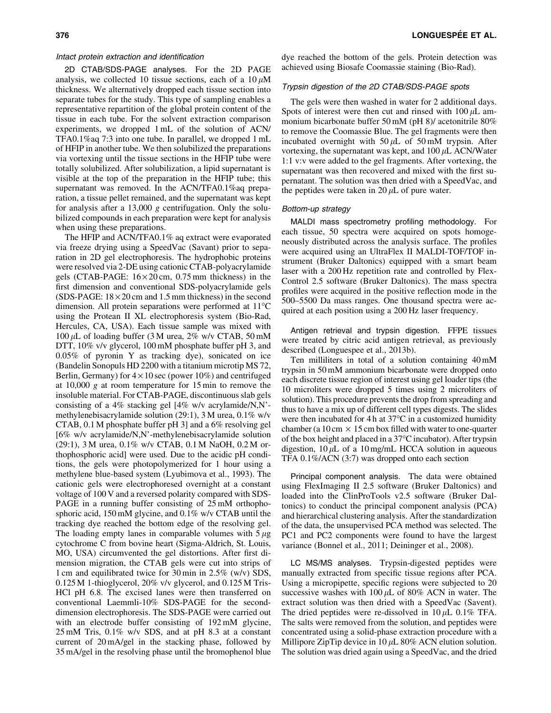## Intact protein extraction and identification

2D CTAB/SDS-PAGE analyses. For the 2D PAGE analysis, we collected 10 tissue sections, each of a  $10 \mu$ M thickness. We alternatively dropped each tissue section into separate tubes for the study. This type of sampling enables a representative repartition of the global protein content of the tissue in each tube. For the solvent extraction comparison experiments, we dropped 1 mL of the solution of ACN/ TFA0.1%aq 7:3 into one tube. In parallel, we dropped 1 mL of HFIP in another tube. We then solubilized the preparations via vortexing until the tissue sections in the HFIP tube were totally solubilized. After solubilization, a lipid supernatant is visible at the top of the preparation in the HFIP tube; this supernatant was removed. In the ACN/TFA0.1%aq preparation, a tissue pellet remained, and the supernatant was kept for analysis after a 13,000 *g* centrifugation. Only the solubilized compounds in each preparation were kept for analysis when using these preparations.

The HFIP and ACN/TFA0.1% aq extract were evaporated via freeze drying using a SpeedVac (Savant) prior to separation in 2D gel electrophoresis. The hydrophobic proteins were resolved via 2-DE using cationic CTAB-polyacrylamide gels (CTAB-PAGE:  $16 \times 20$  cm, 0.75 mm thickness) in the first dimension and conventional SDS-polyacrylamide gels (SDS-PAGE:  $18 \times 20$  cm and 1.5 mm thickness) in the second dimension. All protein separations were performed at  $11^{\circ}$ C using the Protean II XL electrophoresis system (Bio-Rad, Hercules, CA, USA). Each tissue sample was mixed with  $100 \mu L$  of loading buffer (3 M urea,  $2\%$  w/v CTAB, 50 mM DTT, 10% v/v glycerol, 100 mM phosphate buffer pH 3, and 0.05% of pyronin Y as tracking dye), sonicated on ice (Bandelin Sonopuls HD 2200 with a titanium microtip MS 72, Berlin, Germany) for  $4 \times 10$  sec (power 10%) and centrifuged at 10,000 *g* at room temperature for 15 min to remove the insoluble material. For CTAB-PAGE, discontinuous slab gels consisting of a 4% stacking gel [4% w/v acrylamide/N,N' methylenebisacrylamide solution (29:1), 3 M urea, 0.1% w/v CTAB, 0.1 M phosphate buffer pH 3] and a 6% resolving gel [6% w/v acrylamide/N,N'-methylenebisacrylamide solution (29:1), 3 M urea, 0.1% w/v CTAB, 0.1 M NaOH, 0.2 M orthophosphoric acid] were used. Due to the acidic pH conditions, the gels were photopolymerized for 1 hour using a methylene blue-based system (Lyubimova et al., 1993). The cationic gels were electrophoresed overnight at a constant voltage of 100 V and a reversed polarity compared with SDS-PAGE in a running buffer consisting of 25 mM orthophosphoric acid, 150 mM glycine, and 0.1% w/v CTAB until the tracking dye reached the bottom edge of the resolving gel. The loading empty lanes in comparable volumes with  $5 \mu$ g cytochrome C from bovine heart (Sigma-Aldrich, St. Louis, MO, USA) circumvented the gel distortions. After first dimension migration, the CTAB gels were cut into strips of 1 cm and equilibrated twice for 30 min in 2.5% (w/v) SDS, 0.125 M 1-thioglycerol, 20% v/v glycerol, and 0.125 M Tris-HCl pH 6.8. The excised lanes were then transferred on conventional Laemmli-10% SDS-PAGE for the seconddimension electrophoresis. The SDS-PAGE were carried out with an electrode buffer consisting of 192 mM glycine, 25 mM Tris, 0.1% w/v SDS, and at pH 8.3 at a constant current of 20 mA/gel in the stacking phase, followed by 35 mA/gel in the resolving phase until the bromophenol blue dye reached the bottom of the gels. Protein detection was achieved using Biosafe Coomassie staining (Bio-Rad).

#### Trypsin digestion of the 2D CTAB/SDS-PAGE spots

The gels were then washed in water for 2 additional days. Spots of interest were then cut and rinsed with  $100 \mu L$  ammonium bicarbonate buffer 50 mM (pH 8)/ acetonitrile 80% to remove the Coomassie Blue. The gel fragments were then incubated overnight with  $50 \mu L$  of  $50 \text{ mM}$  trypsin. After vortexing, the supernatant was kept, and  $100 \mu L$  ACN/Water 1:1 v:v were added to the gel fragments. After vortexing, the supernatant was then recovered and mixed with the first supernatant. The solution was then dried with a SpeedVac, and the peptides were taken in  $20 \mu L$  of pure water.

#### Bottom-up strategy

MALDI mass spectrometry profiling methodology. For each tissue, 50 spectra were acquired on spots homogeneously distributed across the analysis surface. The profiles were acquired using an UltraFlex II MALDI-TOF/TOF instrument (Bruker Daltonics) equipped with a smart beam laser with a 200 Hz repetition rate and controlled by Flex-Control 2.5 software (Bruker Daltonics). The mass spectra profiles were acquired in the positive reflection mode in the 500–5500 Da mass ranges. One thousand spectra were acquired at each position using a 200 Hz laser frequency.

Antigen retrieval and trypsin digestion. FFPE tissues were treated by citric acid antigen retrieval, as previously described (Longuespee et al., 2013b).

Ten milliliters in total of a solution containing 40 mM trypsin in 50 mM ammonium bicarbonate were dropped onto each discrete tissue region of interest using gel loader tips (the 10 microliters were dropped 5 times using 2 microliters of solution). This procedure prevents the drop from spreading and thus to have a mix up of different cell types digests. The slides were then incubated for  $4 h$  at  $37^{\circ}$ C in a customized humidity chamber (a  $10 \text{ cm} \times 15 \text{ cm}$  box filled with water to one-quarter of the box height and placed in a 37°C incubator). After trypsin digestion,  $10 \mu L$  of a 10 mg/mL HCCA solution in aqueous TFA 0.1%/ACN (3:7) was dropped onto each section

Principal component analysis. The data were obtained using FlexImaging II 2.5 software (Bruker Daltonics) and loaded into the ClinProTools v2.5 software (Bruker Daltonics) to conduct the principal component analysis (PCA) and hierarchical clustering analysis. After the standardization of the data, the unsupervised PCA method was selected. The PC1 and PC2 components were found to have the largest variance (Bonnel et al., 2011; Deininger et al., 2008).

LC MS/MS analyses. Trypsin-digested peptides were manually extracted from specific tissue regions after PCA. Using a micropipette, specific regions were subjected to 20 successive washes with  $100 \mu L$  of 80% ACN in water. The extract solution was then dried with a SpeedVac (Savent). The dried peptides were re-dissolved in  $10 \mu L$  0.1% TFA. The salts were removed from the solution, and peptides were concentrated using a solid-phase extraction procedure with a Millipore ZipTip device in  $10 \mu L 80\%$  ACN elution solution. The solution was dried again using a SpeedVac, and the dried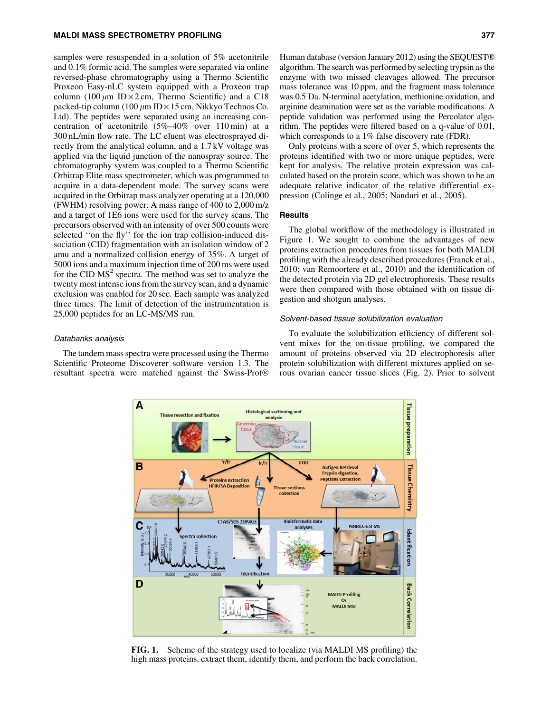# MALDI MASS SPECTROMETRY PROFILING 377

samples were resuspended in a solution of 5% acetonitrile and 0.1% formic acid. The samples were separated via online reversed-phase chromatography using a Thermo Scientific Proxeon Easy-nLC system equipped with a Proxeon trap column (100  $\mu$ m ID × 2 cm, Thermo Scientific) and a C18 packed-tip column (100  $\mu$ m ID  $\times$  15 cm, Nikkyo Technos Co. Ltd). The peptides were separated using an increasing concentration of acetonitrile (5%–40% over 110 min) at a 300 nL/min flow rate. The LC eluent was electrosprayed directly from the analytical column, and a 1.7 kV voltage was applied via the liquid junction of the nanospray source. The chromatography system was coupled to a Thermo Scientific Orbitrap Elite mass spectrometer, which was programmed to acquire in a data-dependent mode. The survey scans were acquired in the Orbitrap mass analyzer operating at a 120,000 (FWHM) resolving power. A mass range of 400 to 2,000 m/z and a target of 1E6 ions were used for the survey scans. The precursors observed with an intensity of over 500 counts were selected ''on the fly'' for the ion trap collision-induced dissociation (CID) fragmentation with an isolation window of 2 amu and a normalized collision energy of 35%. A target of 5000 ions and a maximum injection time of 200 ms were used for the CID  $MS<sup>2</sup>$  spectra. The method was set to analyze the twenty most intense ions from the survey scan, and a dynamic exclusion was enabled for 20 sec. Each sample was analyzed three times. The limit of detection of the instrumentation is 25,000 peptides for an LC-MS/MS run.

#### Databanks analysis

The tandem mass spectra were processed using the Thermo Scientific Proteome Discoverer software version 1.3. The resultant spectra were matched against the Swiss-Prot

Human database (version January 2012) using the SEQUEST algorithm. The search was performed by selecting trypsin as the enzyme with two missed cleavages allowed. The precursor mass tolerance was 10 ppm, and the fragment mass tolerance was 0.5 Da. N-terminal acetylation, methionine oxidation, and arginine deamination were set as the variable modifications. A peptide validation was performed using the Percolator algorithm. The peptides were filtered based on a q-value of 0.01, which corresponds to a 1% false discovery rate (FDR).

Only proteins with a score of over 5, which represents the proteins identified with two or more unique peptides, were kept for analysis. The relative protein expression was calculated based on the protein score, which was shown to be an adequate relative indicator of the relative differential expression (Colinge et al., 2005; Nanduri et al., 2005).

## **Results**

The global workflow of the methodology is illustrated in Figure 1. We sought to combine the advantages of new proteins extraction procedures from tissues for both MALDI profiling with the already described procedures (Franck et al., 2010; van Remoortere et al., 2010) and the identification of the detected protein via 2D gel electrophoresis. These results were then compared with those obtained with on tissue digestion and shotgun analyses.

## Solvent-based tissue solubilization evaluation

To evaluate the solubilization efficiency of different solvent mixes for the on-tissue profiling, we compared the amount of proteins observed via 2D electrophoresis after protein solubilization with different mixtures applied on serous ovarian cancer tissue slices (Fig. 2). Prior to solvent



FIG. 1. Scheme of the strategy used to localize (via MALDI MS profiling) the high mass proteins, extract them, identify them, and perform the back correlation.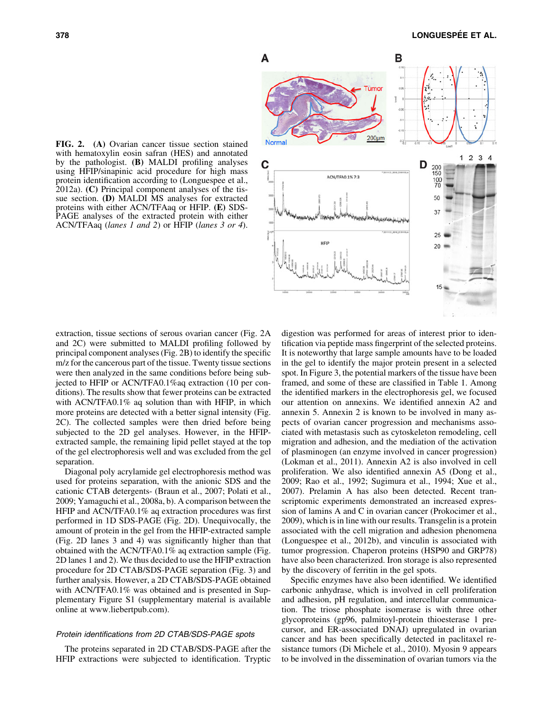FIG. 2. (A) Ovarian cancer tissue section stained with hematoxylin eosin safran (HES) and annotated by the pathologist. (B) MALDI profiling analyses using HFIP/sinapinic acid procedure for high mass protein identification according to (Longuespee et al., 2012a). (C) Principal component analyses of the tissue section. (D) MALDI MS analyses for extracted proteins with either ACN/TFAaq or HFIP. (E) SDS-PAGE analyses of the extracted protein with either ACN/TFAaq (*lanes 1 and 2*) or HFIP (*lanes 3 or 4*).



extraction, tissue sections of serous ovarian cancer (Fig. 2A and 2C) were submitted to MALDI profiling followed by principal component analyses (Fig. 2B) to identify the specific m/z for the cancerous part of the tissue. Twenty tissue sections were then analyzed in the same conditions before being subjected to HFIP or ACN/TFA0.1%aq extraction (10 per conditions). The results show that fewer proteins can be extracted with ACN/TFA0.1% aq solution than with HFIP, in which more proteins are detected with a better signal intensity (Fig. 2C). The collected samples were then dried before being subjected to the 2D gel analyses. However, in the HFIPextracted sample, the remaining lipid pellet stayed at the top of the gel electrophoresis well and was excluded from the gel separation.

Diagonal poly acrylamide gel electrophoresis method was used for proteins separation, with the anionic SDS and the cationic CTAB detergents- (Braun et al., 2007; Polati et al., 2009; Yamaguchi et al., 2008a, b). A comparison between the HFIP and ACN/TFA0.1% aq extraction procedures was first performed in 1D SDS-PAGE (Fig. 2D). Unequivocally, the amount of protein in the gel from the HFIP-extracted sample (Fig. 2D lanes 3 and 4) was significantly higher than that obtained with the ACN/TFA0.1% aq extraction sample (Fig. 2D lanes 1 and 2). We thus decided to use the HFIP extraction procedure for 2D CTAB/SDS-PAGE separation (Fig. 3) and further analysis. However, a 2D CTAB/SDS-PAGE obtained with ACN/TFA0.1% was obtained and is presented in Supplementary Figure S1 (supplementary material is available online at www.liebertpub.com).

# Protein identifications from 2D CTAB/SDS-PAGE spots

The proteins separated in 2D CTAB/SDS-PAGE after the HFIP extractions were subjected to identification. Tryptic digestion was performed for areas of interest prior to identification via peptide mass fingerprint of the selected proteins. It is noteworthy that large sample amounts have to be loaded in the gel to identify the major protein present in a selected spot. In Figure 3, the potential markers of the tissue have been framed, and some of these are classified in Table 1. Among the identified markers in the electrophoresis gel, we focused our attention on annexins. We identified annexin A2 and annexin 5. Annexin 2 is known to be involved in many aspects of ovarian cancer progression and mechanisms associated with metastasis such as cytoskeleton remodeling, cell migration and adhesion, and the mediation of the activation of plasminogen (an enzyme involved in cancer progression) (Lokman et al., 2011). Annexin A2 is also involved in cell proliferation. We also identified annexin A5 (Dong et al., 2009; Rao et al., 1992; Sugimura et al., 1994; Xue et al., 2007). Prelamin A has also been detected. Recent transcriptomic experiments demonstrated an increased expression of lamins A and C in ovarian cancer (Prokocimer et al., 2009), which is in line with our results. Transgelin is a protein associated with the cell migration and adhesion phenomena (Longuespee et al., 2012b), and vinculin is associated with tumor progression. Chaperon proteins (HSP90 and GRP78) have also been characterized. Iron storage is also represented by the discovery of ferritin in the gel spots.

Specific enzymes have also been identified. We identified carbonic anhydrase, which is involved in cell proliferation and adhesion, pH regulation, and intercellular communication. The triose phosphate isomerase is with three other glycoproteins (gp96, palmitoyl-protein thioesterase 1 precursor, and ER-associated DNAJ) upregulated in ovarian cancer and has been specifically detected in paclitaxel resistance tumors (Di Michele et al., 2010). Myosin 9 appears to be involved in the dissemination of ovarian tumors via the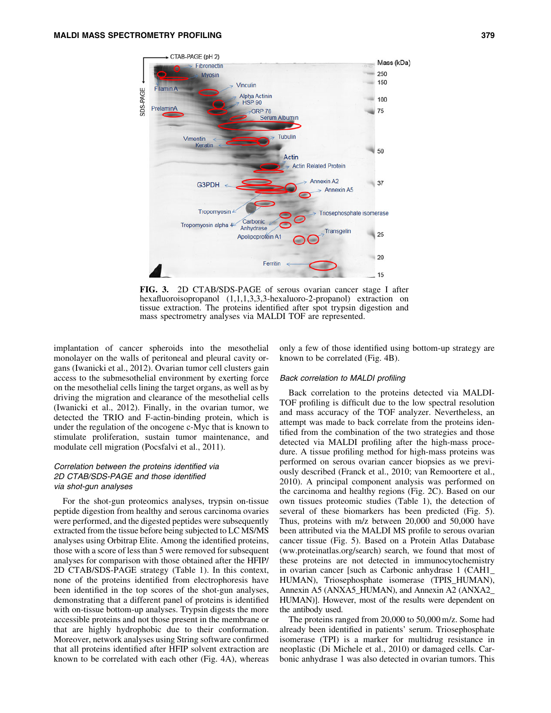

FIG. 3. 2D CTAB/SDS-PAGE of serous ovarian cancer stage I after hexafluoroisopropanol (1,1,1,3,3,3-hexaluoro-2-propanol) extraction on tissue extraction. The proteins identified after spot trypsin digestion and mass spectrometry analyses via MALDI TOF are represented.

implantation of cancer spheroids into the mesothelial monolayer on the walls of peritoneal and pleural cavity organs (Iwanicki et al., 2012). Ovarian tumor cell clusters gain access to the submesothelial environment by exerting force on the mesothelial cells lining the target organs, as well as by driving the migration and clearance of the mesothelial cells (Iwanicki et al., 2012). Finally, in the ovarian tumor, we detected the TRIO and F-actin-binding protein, which is under the regulation of the oncogene c-Myc that is known to stimulate proliferation, sustain tumor maintenance, and modulate cell migration (Pocsfalvi et al., 2011).

# Correlation between the proteins identified via 2D CTAB/SDS-PAGE and those identified via shot-gun analyses

For the shot-gun proteomics analyses, trypsin on-tissue peptide digestion from healthy and serous carcinoma ovaries were performed, and the digested peptides were subsequently extracted from the tissue before being subjected to LC MS/MS analyses using Orbitrap Elite. Among the identified proteins, those with a score of less than 5 were removed for subsequent analyses for comparison with those obtained after the HFIP/ 2D CTAB/SDS-PAGE strategy (Table 1). In this context, none of the proteins identified from electrophoresis have been identified in the top scores of the shot-gun analyses, demonstrating that a different panel of proteins is identified with on-tissue bottom-up analyses. Trypsin digests the more accessible proteins and not those present in the membrane or that are highly hydrophobic due to their conformation. Moreover, network analyses using String software confirmed that all proteins identified after HFIP solvent extraction are known to be correlated with each other (Fig. 4A), whereas only a few of those identified using bottom-up strategy are known to be correlated (Fig. 4B).

#### Back correlation to MALDI profiling

Back correlation to the proteins detected via MALDI-TOF profiling is difficult due to the low spectral resolution and mass accuracy of the TOF analyzer. Nevertheless, an attempt was made to back correlate from the proteins identified from the combination of the two strategies and those detected via MALDI profiling after the high-mass procedure. A tissue profiling method for high-mass proteins was performed on serous ovarian cancer biopsies as we previously described (Franck et al., 2010; van Remoortere et al., 2010). A principal component analysis was performed on the carcinoma and healthy regions (Fig. 2C). Based on our own tissues proteomic studies (Table 1), the detection of several of these biomarkers has been predicted (Fig. 5). Thus, proteins with m/z between 20,000 and 50,000 have been attributed via the MALDI MS profile to serous ovarian cancer tissue (Fig. 5). Based on a Protein Atlas Database (ww.proteinatlas.org/search) search, we found that most of these proteins are not detected in immunocytochemistry in ovarian cancer [such as Carbonic anhydrase 1 (CAH1\_ HUMAN), Triosephosphate isomerase (TPIS\_HUMAN), Annexin A5 (ANXA5\_HUMAN), and Annexin A2 (ANXA2\_ HUMAN)]. However, most of the results were dependent on the antibody used.

The proteins ranged from 20,000 to 50,000 m/z. Some had already been identified in patients' serum. Triosephosphate isomerase (TPI) is a marker for multidrug resistance in neoplastic (Di Michele et al., 2010) or damaged cells. Carbonic anhydrase 1 was also detected in ovarian tumors. This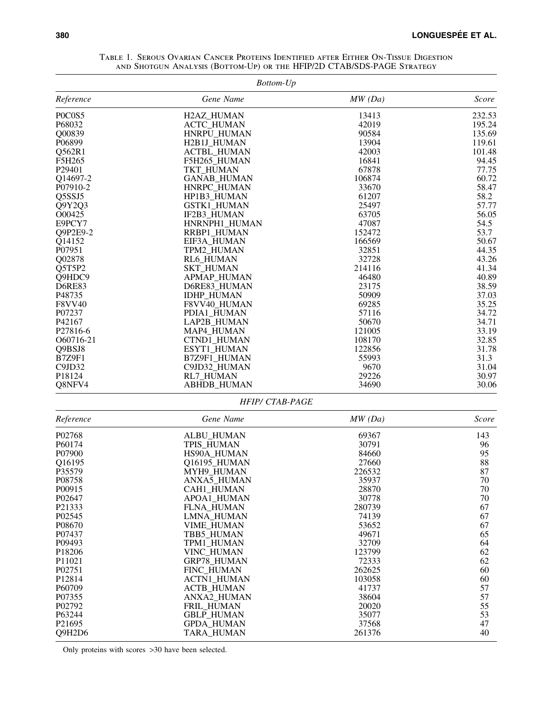| <b>Bottom-Up</b> |                        |                |        |
|------------------|------------------------|----------------|--------|
| Reference        | Gene Name              | MW(Da)         | Score  |
| POCOS5           | H2AZ_HUMAN             | 13413          | 232.53 |
| P68032           | <b>ACTC_HUMAN</b>      | 42019          | 195.24 |
| Q00839           | HNRPU_HUMAN            | 90584          | 135.69 |
| P06899           | H2B1J HUMAN            | 13904          | 119.61 |
| Q562R1           | <b>ACTBL_HUMAN</b>     | 42003          | 101.48 |
| F5H265           | F5H265_HUMAN           | 16841          | 94.45  |
| P29401           | TKT_HUMAN              | 67878          | 77.75  |
| Q14697-2         | GANAB_HUMAN            | 106874         | 60.72  |
| P07910-2         | HNRPC_HUMAN            | 33670          | 58.47  |
| Q5SSJ5           | HP1B3_HUMAN            | 61207          | 58.2   |
| Q9Y2Q3           | GSTK1_HUMAN            | 25497          | 57.77  |
| O00425           | IF2B3_HUMAN            | 63705          | 56.05  |
| E9PCY7           | HNRNPH1_HUMAN          | 47087          | 54.5   |
| Q9P2E9-2         |                        | 152472         | 53.7   |
|                  | RRBP1_HUMAN            |                |        |
| Q14152           | EIF3A_HUMAN            | 166569         | 50.67  |
| P07951           | TPM2_HUMAN             | 32851          | 44.35  |
| Q02878           | <b>RL6_HUMAN</b>       | 32728          | 43.26  |
| Q5T5P2           | SKT_HUMAN              | 214116         | 41.34  |
| Q9HDC9           | APMAP_HUMAN            | 46480          | 40.89  |
| <b>D6RE83</b>    | D6RE83_HUMAN           | 23175          | 38.59  |
| P48735           | <b>IDHP_HUMAN</b>      | 50909          | 37.03  |
| <b>F8VV40</b>    | F8VV40_HUMAN           | 69285          | 35.25  |
| P07237           | PDIA1_HUMAN            | 57116          | 34.72  |
| P42167           | LAP2B_HUMAN            | 50670          | 34.71  |
| P27816-6         | MAP4_HUMAN             | 121005         | 33.19  |
| O60716-21        | CTND1 HUMAN            | 108170         | 32.85  |
| Q9BSJ8           | ESYT1_HUMAN            | 122856         | 31.78  |
| <b>B7Z9F1</b>    | B7Z9F1_HUMAN           | 55993          | 31.3   |
| C9JD32           | C9JD32_HUMAN           | 9670           | 31.04  |
| P18124           | RL7_HUMAN              | 29226          | 30.97  |
| Q8NFV4           | <b>ABHDB_HUMAN</b>     | 34690          | 30.06  |
|                  | <b>HFIP/ CTAB-PAGE</b> |                |        |
| Reference        | Gene Name              | MW(Da)         | Score  |
| P02768           | <b>ALBU_HUMAN</b>      | 69367          | 143    |
| P60174           | TPIS_HUMAN             | 30791          | 96     |
| P07900           | HS90A_HUMAN            | 84660          | 95     |
| Q16195           | Q16195_HUMAN           | 27660          | 88     |
| P35579           | MYH9_HUMAN             | 226532         | 87     |
| P08758           | ANXA5 HUMAN            | 35937          | 70     |
| P00915           | CAH1_HUMAN             | 28870          | 70     |
| P02647           | APOA1_HUMAN            | 30778          | 70     |
| P21333           | <b>FLNA_HUMAN</b>      | 280739         | 67     |
| P02545           | <b>LMNA HUMAN</b>      | 74139          | 67     |
| P08670           | <b>VIME HUMAN</b>      | 53652          | 67     |
| P07437           | TBB5 HUMAN             |                |        |
|                  |                        | 49671<br>32709 | 65     |
| P09493           | TPM1_HUMAN             |                | 64     |
| P18206           | VINC_HUMAN             | 123799         | 62     |
| P11021           | GRP78_HUMAN            | 72333          | 62     |
| P02751           | FINC_HUMAN             | 262625         | 60     |
| P12814           | <b>ACTN1_HUMAN</b>     | 103058         | 60     |
| P60709           | <b>ACTB_HUMAN</b>      | 41737          | 57     |
| P07355           | ANXA2_HUMAN            | 38604          | 57     |
| P02792           | FRIL_HUMAN             | 20020          | 55     |
| P63244           | <b>GBLP_HUMAN</b>      | 35077          | 53     |
| P21695           | <b>GPDA_HUMAN</b>      | 37568          | 47     |
| Q9H2D6           | TARA_HUMAN             | 261376         | 40     |
|                  |                        |                |        |

Table 1. Serous Ovarian Cancer Proteins Identified after Either On-Tissue Digestion and Shotgun Analysis (Bottom-Up) or the HFIP/2D CTAB/SDS-PAGE Strategy

Only proteins with scores >30 have been selected.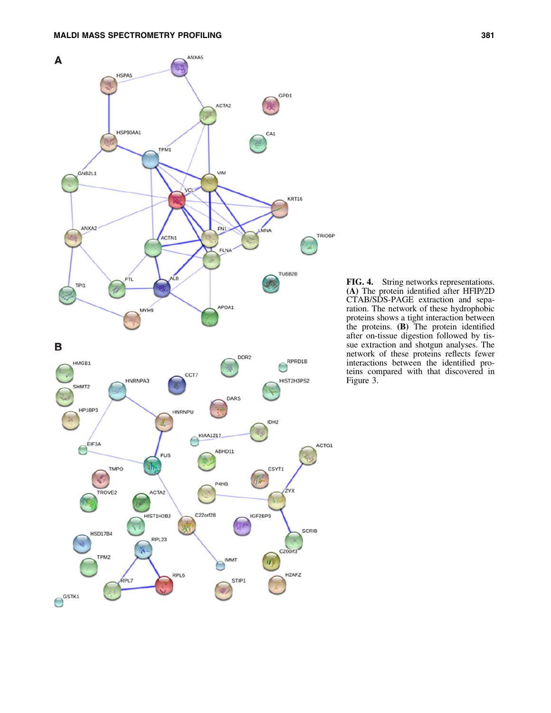

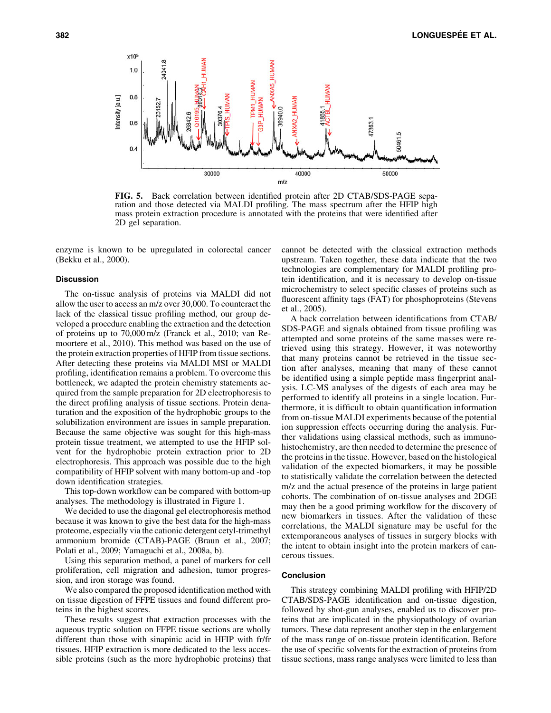

FIG. 5. Back correlation between identified protein after 2D CTAB/SDS-PAGE separation and those detected via MALDI profiling. The mass spectrum after the HFIP high mass protein extraction procedure is annotated with the proteins that were identified after 2D gel separation.

enzyme is known to be upregulated in colorectal cancer (Bekku et al., 2000).

#### **Discussion**

The on-tissue analysis of proteins via MALDI did not allow the user to access an m/z over 30,000. To counteract the lack of the classical tissue profiling method, our group developed a procedure enabling the extraction and the detection of proteins up to 70,000 m/z (Franck et al., 2010; van Remoortere et al., 2010). This method was based on the use of the protein extraction properties of HFIP from tissue sections. After detecting these proteins via MALDI MSI or MALDI profiling, identification remains a problem. To overcome this bottleneck, we adapted the protein chemistry statements acquired from the sample preparation for 2D electrophoresis to the direct profiling analysis of tissue sections. Protein denaturation and the exposition of the hydrophobic groups to the solubilization environment are issues in sample preparation. Because the same objective was sought for this high-mass protein tissue treatment, we attempted to use the HFIP solvent for the hydrophobic protein extraction prior to 2D electrophoresis. This approach was possible due to the high compatibility of HFIP solvent with many bottom-up and -top down identification strategies.

This top-down workflow can be compared with bottom-up analyses. The methodology is illustrated in Figure 1.

We decided to use the diagonal gel electrophoresis method because it was known to give the best data for the high-mass proteome, especially via the cationic detergent cetyl-trimethyl ammonium bromide (CTAB)-PAGE (Braun et al., 2007; Polati et al., 2009; Yamaguchi et al., 2008a, b).

Using this separation method, a panel of markers for cell proliferation, cell migration and adhesion, tumor progression, and iron storage was found.

We also compared the proposed identification method with on tissue digestion of FFPE tissues and found different proteins in the highest scores.

These results suggest that extraction processes with the aqueous tryptic solution on FFPE tissue sections are wholly different than those with sinapinic acid in HFIP with fr/fr tissues. HFIP extraction is more dedicated to the less accessible proteins (such as the more hydrophobic proteins) that cannot be detected with the classical extraction methods upstream. Taken together, these data indicate that the two technologies are complementary for MALDI profiling protein identification, and it is necessary to develop on-tissue microchemistry to select specific classes of proteins such as fluorescent affinity tags (FAT) for phosphoproteins (Stevens et al., 2005).

A back correlation between identifications from CTAB/ SDS-PAGE and signals obtained from tissue profiling was attempted and some proteins of the same masses were retrieved using this strategy. However, it was noteworthy that many proteins cannot be retrieved in the tissue section after analyses, meaning that many of these cannot be identified using a simple peptide mass fingerprint analysis. LC-MS analyses of the digests of each area may be performed to identify all proteins in a single location. Furthermore, it is difficult to obtain quantification information from on-tissue MALDI experiments because of the potential ion suppression effects occurring during the analysis. Further validations using classical methods, such as immunohistochemistry, are then needed to determine the presence of the proteins in the tissue. However, based on the histological validation of the expected biomarkers, it may be possible to statistically validate the correlation between the detected m/z and the actual presence of the proteins in large patient cohorts. The combination of on-tissue analyses and 2DGE may then be a good priming workflow for the discovery of new biomarkers in tissues. After the validation of these correlations, the MALDI signature may be useful for the extemporaneous analyses of tissues in surgery blocks with the intent to obtain insight into the protein markers of cancerous tissues.

#### Conclusion

This strategy combining MALDI profiling with HFIP/2D CTAB/SDS-PAGE identification and on-tissue digestion, followed by shot-gun analyses, enabled us to discover proteins that are implicated in the physiopathology of ovarian tumors. These data represent another step in the enlargement of the mass range of on-tissue protein identification. Before the use of specific solvents for the extraction of proteins from tissue sections, mass range analyses were limited to less than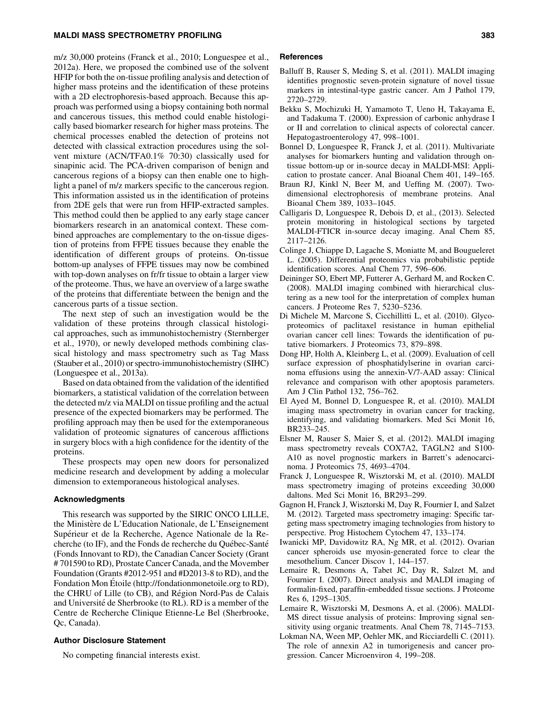#### MALDI MASS SPECTROMETRY PROFILING 383

m/z 30,000 proteins (Franck et al., 2010; Longuespee et al., 2012a). Here, we proposed the combined use of the solvent HFIP for both the on-tissue profiling analysis and detection of higher mass proteins and the identification of these proteins with a 2D electrophoresis-based approach. Because this approach was performed using a biopsy containing both normal and cancerous tissues, this method could enable histologically based biomarker research for higher mass proteins. The chemical processes enabled the detection of proteins not detected with classical extraction procedures using the solvent mixture (ACN/TFA0.1% 70:30) classically used for sinapinic acid. The PCA-driven comparison of benign and cancerous regions of a biopsy can then enable one to highlight a panel of m/z markers specific to the cancerous region. This information assisted us in the identification of proteins from 2DE gels that were run from HFIP-extracted samples. This method could then be applied to any early stage cancer biomarkers research in an anatomical context. These combined approaches are complementary to the on-tissue digestion of proteins from FFPE tissues because they enable the identification of different groups of proteins. On-tissue bottom-up analyses of FFPE tissues may now be combined with top-down analyses on fr/fr tissue to obtain a larger view of the proteome. Thus, we have an overview of a large swathe of the proteins that differentiate between the benign and the cancerous parts of a tissue section.

The next step of such an investigation would be the validation of these proteins through classical histological approaches, such as immunohistochemistry (Sternberger et al., 1970), or newly developed methods combining classical histology and mass spectrometry such as Tag Mass (Stauber et al., 2010) or spectro-immunohistochemistry (SIHC) (Longuespee et al., 2013a).

Based on data obtained from the validation of the identified biomarkers, a statistical validation of the correlation between the detected m/z via MALDI on tissue profiling and the actual presence of the expected biomarkers may be performed. The profiling approach may then be used for the extemporaneous validation of proteomic signatures of cancerous afflictions in surgery blocs with a high confidence for the identity of the proteins.

These prospects may open new doors for personalized medicine research and development by adding a molecular dimension to extemporaneous histological analyses.

## Acknowledgments

This research was supported by the SIRIC ONCO LILLE, the Ministère de L'Education Nationale, de L'Enseignement Supérieur et de la Recherche, Agence Nationale de la Recherche (to IF), and the Fonds de recherche du Québec-Santé (Fonds Innovant to RD), the Canadian Cancer Society (Grant # 701590 to RD), Prostate Cancer Canada, and the Movember Foundation (Grants #2012-951 and #D2013-8 to RD), and the Fondation Mon Etoile (http://fondationmonetoile.org to RD), the CHRU of Lille (to CB), and Région Nord-Pas de Calais and Université de Sherbrooke (to RL). RD is a member of the Centre de Recherche Clinique Etienne-Le Bel (Sherbrooke, Qc, Canada).

#### Author Disclosure Statement

No competing financial interests exist.

## **References**

- Balluff B, Rauser S, Meding S, et al. (2011). MALDI imaging identifies prognostic seven-protein signature of novel tissue markers in intestinal-type gastric cancer. Am J Pathol 179, 2720–2729.
- Bekku S, Mochizuki H, Yamamoto T, Ueno H, Takayama E, and Tadakuma T. (2000). Expression of carbonic anhydrase I or II and correlation to clinical aspects of colorectal cancer. Hepatogastroenterology 47, 998–1001.
- Bonnel D, Longuespee R, Franck J, et al. (2011). Multivariate analyses for biomarkers hunting and validation through ontissue bottom-up or in-source decay in MALDI-MSI: Application to prostate cancer. Anal Bioanal Chem 401, 149–165.
- Braun RJ, Kinkl N, Beer M, and Ueffing M. (2007). Twodimensional electrophoresis of membrane proteins. Anal Bioanal Chem 389, 1033–1045.
- Calligaris D, Longuespee R, Debois D, et al., (2013). Selected protein monitoring in histological sections by targeted MALDI-FTICR in-source decay imaging. Anal Chem 85, 2117–2126.
- Colinge J, Chiappe D, Lagache S, Moniatte M, and Bougueleret L. (2005). Differential proteomics via probabilistic peptide identification scores. Anal Chem 77, 596–606.
- Deininger SO, Ebert MP, Futterer A, Gerhard M, and Rocken C. (2008). MALDI imaging combined with hierarchical clustering as a new tool for the interpretation of complex human cancers. J Proteome Res 7, 5230–5236.
- Di Michele M, Marcone S, Cicchillitti L, et al. (2010). Glycoproteomics of paclitaxel resistance in human epithelial ovarian cancer cell lines: Towards the identification of putative biomarkers. J Proteomics 73, 879–898.
- Dong HP, Holth A, Kleinberg L, et al. (2009). Evaluation of cell surface expression of phosphatidylserine in ovarian carcinoma effusions using the annexin-V/7-AAD assay: Clinical relevance and comparison with other apoptosis parameters. Am J Clin Pathol 132, 756–762.
- El Ayed M, Bonnel D, Longuespee R, et al. (2010). MALDI imaging mass spectrometry in ovarian cancer for tracking, identifying, and validating biomarkers. Med Sci Monit 16, BR233–245.
- Elsner M, Rauser S, Maier S, et al. (2012). MALDI imaging mass spectrometry reveals COX7A2, TAGLN2 and S100- A10 as novel prognostic markers in Barrett's adenocarcinoma. J Proteomics 75, 4693–4704.
- Franck J, Longuespee R, Wisztorski M, et al. (2010). MALDI mass spectrometry imaging of proteins exceeding 30,000 daltons. Med Sci Monit 16, BR293–299.
- Gagnon H, Franck J, Wisztorski M, Day R, Fournier I, and Salzet M. (2012). Targeted mass spectrometry imaging: Specific targeting mass spectrometry imaging technologies from history to perspective. Prog Histochem Cytochem 47, 133–174.
- Iwanicki MP, Davidowitz RA, Ng MR, et al. (2012). Ovarian cancer spheroids use myosin-generated force to clear the mesothelium. Cancer Discov 1, 144–157.
- Lemaire R, Desmons A, Tabet JC, Day R, Salzet M, and Fournier I. (2007). Direct analysis and MALDI imaging of formalin-fixed, paraffin-embedded tissue sections. J Proteome Res 6, 1295–1305.
- Lemaire R, Wisztorski M, Desmons A, et al. (2006). MALDI-MS direct tissue analysis of proteins: Improving signal sensitivity using organic treatments. Anal Chem 78, 7145–7153.
- Lokman NA, Ween MP, Oehler MK, and Ricciardelli C. (2011). The role of annexin A2 in tumorigenesis and cancer progression. Cancer Microenviron 4, 199–208.